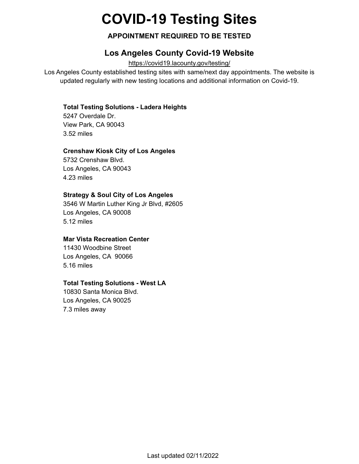# **COVID-19 Testing Sites**

## **APPOINTMENT REQUIRED TO BE TESTED**

# **Los Angeles County Covid-19 Website**

<https://covid19.lacounty.gov/testing/>

Los Angeles County established testing sites with same/next day appointments. The website is updated regularly with new testing locations and additional information on Covid-19.

#### **Total Testing Solutions - Ladera Heights**

5247 Overdale Dr. View Park, CA 90043 3.52 miles

#### **Crenshaw Kiosk City of Los Angeles**

5732 Crenshaw Blvd. Los Angeles, CA 90043 4.23 miles

#### **Strategy & Soul City of Los Angeles**

3546 W Martin Luther King Jr Blvd, #2605 Los Angeles, CA 90008 5.12 miles

## **Mar Vista Recreation Center**

11430 Woodbine Street Los Angeles, CA 90066 5.16 miles

#### **Total Testing Solutions - West LA**

10830 Santa Monica Blvd. Los Angeles, CA 90025 7.3 miles away